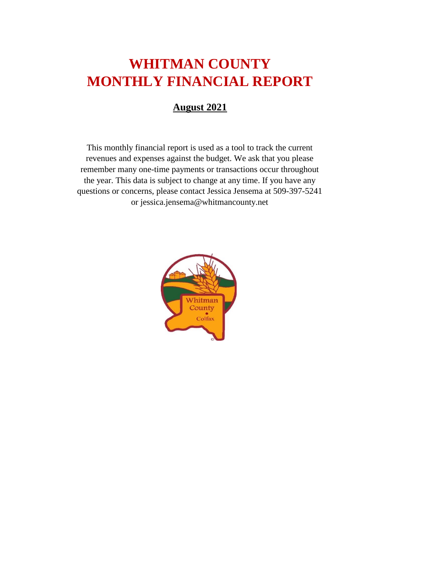# **WHITMAN COUNTY MONTHLY FINANCIAL REPORT**

#### **August 2021**

This monthly financial report is used as a tool to track the current revenues and expenses against the budget. We ask that you please remember many one-time payments or transactions occur throughout the year. This data is subject to change at any time. If you have any questions or concerns, please contact Jessica Jensema at 509-397-5241 or jessica.jensema@whitmancounty.net

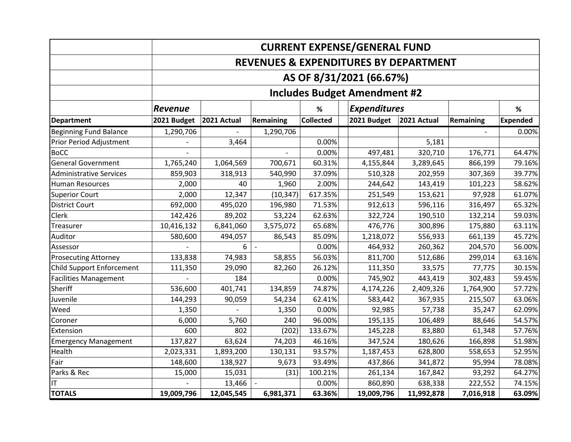|                                                  |                                     |             |           |                  | <b>CURRENT EXPENSE/GENERAL FUND</b> |             |           |          |  |
|--------------------------------------------------|-------------------------------------|-------------|-----------|------------------|-------------------------------------|-------------|-----------|----------|--|
| <b>REVENUES &amp; EXPENDITURES BY DEPARTMENT</b> |                                     |             |           |                  |                                     |             |           |          |  |
|                                                  |                                     |             |           |                  | AS OF 8/31/2021 (66.67%)            |             |           |          |  |
|                                                  | <b>Includes Budget Amendment #2</b> |             |           |                  |                                     |             |           |          |  |
|                                                  | <b>Revenue</b>                      |             |           | %                | <b>Expenditures</b>                 |             |           | $\%$     |  |
| <b>Department</b>                                | 2021 Budget                         | 2021 Actual | Remaining | <b>Collected</b> | 2021 Budget                         | 2021 Actual | Remaining | Expended |  |
| <b>Beginning Fund Balance</b>                    | 1,290,706                           |             | 1,290,706 |                  |                                     |             |           | 0.00%    |  |
| Prior Period Adjustment                          |                                     | 3,464       |           | 0.00%            |                                     | 5,181       |           |          |  |
| <b>BoCC</b>                                      |                                     |             |           | 0.00%            | 497,481                             | 320,710     | 176,771   | 64.47%   |  |
| <b>General Government</b>                        | 1,765,240                           | 1,064,569   | 700,671   | 60.31%           | 4,155,844                           | 3,289,645   | 866,199   | 79.16%   |  |
| <b>Administrative Services</b>                   | 859,903                             | 318,913     | 540,990   | 37.09%           | 510,328                             | 202,959     | 307,369   | 39.77%   |  |
| <b>Human Resources</b>                           | 2,000                               | 40          | 1,960     | 2.00%            | 244,642                             | 143,419     | 101,223   | 58.62%   |  |
| <b>Superior Court</b>                            | 2,000                               | 12,347      | (10, 347) | 617.35%          | 251,549                             | 153,621     | 97,928    | 61.07%   |  |
| <b>District Court</b>                            | 692,000                             | 495,020     | 196,980   | 71.53%           | 912,613                             | 596,116     | 316,497   | 65.32%   |  |
| Clerk                                            | 142,426                             | 89,202      | 53,224    | 62.63%           | 322,724                             | 190,510     | 132,214   | 59.03%   |  |
| Treasurer                                        | 10,416,132                          | 6,841,060   | 3,575,072 | 65.68%           | 476,776                             | 300,896     | 175,880   | 63.11%   |  |
| Auditor                                          | 580,600                             | 494,057     | 86,543    | 85.09%           | 1,218,072                           | 556,933     | 661,139   | 45.72%   |  |
| Assessor                                         |                                     | 6           |           | 0.00%            | 464,932                             | 260,362     | 204,570   | 56.00%   |  |
| <b>Prosecuting Attorney</b>                      | 133,838                             | 74,983      | 58,855    | 56.03%           | 811,700                             | 512,686     | 299,014   | 63.16%   |  |
| <b>Child Support Enforcement</b>                 | 111,350                             | 29,090      | 82,260    | 26.12%           | 111,350                             | 33,575      | 77,775    | 30.15%   |  |
| <b>Facilities Management</b>                     |                                     | 184         |           | 0.00%            | 745,902                             | 443,419     | 302,483   | 59.45%   |  |
| Sheriff                                          | 536,600                             | 401,741     | 134,859   | 74.87%           | 4,174,226                           | 2,409,326   | 1,764,900 | 57.72%   |  |
| Juvenile                                         | 144,293                             | 90,059      | 54,234    | 62.41%           | 583,442                             | 367,935     | 215,507   | 63.06%   |  |
| Weed                                             | 1,350                               |             | 1,350     | 0.00%            | 92,985                              | 57,738      | 35,247    | 62.09%   |  |
| Coroner                                          | 6,000                               | 5,760       | 240       | 96.00%           | 195,135                             | 106,489     | 88,646    | 54.57%   |  |
| Extension                                        | 600                                 | 802         | (202)     | 133.67%          | 145,228                             | 83,880      | 61,348    | 57.76%   |  |
| <b>Emergency Management</b>                      | 137,827                             | 63,624      | 74,203    | 46.16%           | 347,524                             | 180,626     | 166,898   | 51.98%   |  |
| Health                                           | 2,023,331                           | 1,893,200   | 130,131   | 93.57%           | 1,187,453                           | 628,800     | 558,653   | 52.95%   |  |
| Fair                                             | 148,600                             | 138,927     | 9,673     | 93.49%           | 437,866                             | 341,872     | 95,994    | 78.08%   |  |
| Parks & Rec                                      | 15,000                              | 15,031      | (31)      | 100.21%          | 261,134                             | 167,842     | 93,292    | 64.27%   |  |
| ΙT                                               |                                     | 13,466      |           | 0.00%            | 860,890                             | 638,338     | 222,552   | 74.15%   |  |
| <b>TOTALS</b>                                    | 19,009,796                          | 12,045,545  | 6,981,371 | 63.36%           | 19,009,796                          | 11,992,878  | 7,016,918 | 63.09%   |  |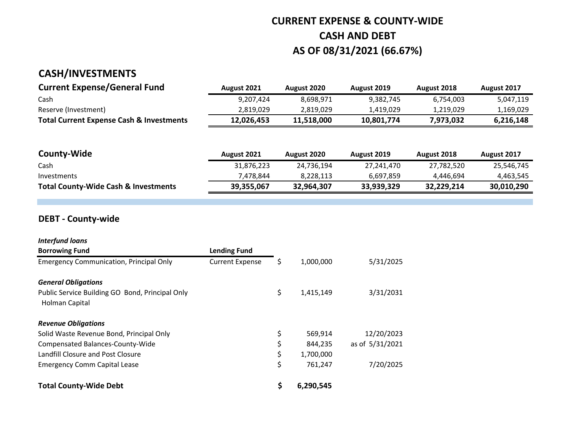### **CURRENT EXPENSE & COUNTY-WIDE CASH AND DEBT AS OF 08/31/2021 (66.67%)**

#### **CASH/INVESTMENTS**

| <b>Current Expense/General Fund</b>                 | <b>August 2021</b> | August 2020 | August 2019 | <b>August 2018</b> | August 2017 |
|-----------------------------------------------------|--------------------|-------------|-------------|--------------------|-------------|
| Cash                                                | 9.207.424          | 8.698.971   | 9.382.745   | 6.754.003          | 5,047,119   |
| Reserve (Investment)                                | 2.819.029          | 2.819.029   | 1.419.029   | 1.219.029          | 1,169,029   |
| <b>Total Current Expense Cash &amp; Investments</b> | 12.026.453         | 11.518.000  | 10.801.774  | 7.973.032          | 6,216,148   |

| County-Wide                                     | August 2021 | August 2020 | August 2019 | August 2018 | August 2017 |
|-------------------------------------------------|-------------|-------------|-------------|-------------|-------------|
| Cash                                            | 31.876.223  | 24.736.194  | 27.241.470  | 27,782,520  | 25,546,745  |
| Investments                                     | 7.478.844   | 8.228.113   | 6.697.859   | 4.446.694   | 4,463,545   |
| <b>Total County-Wide Cash &amp; Investments</b> | 39.355.067  | 32.964.307  | 33.939.329  | 32.229.214  | 30,010,290  |

#### **DEBT - County-wide**

| <b>Interfund loans</b>                                            |                        |    |           |                 |
|-------------------------------------------------------------------|------------------------|----|-----------|-----------------|
| <b>Borrowing Fund</b>                                             | <b>Lending Fund</b>    |    |           |                 |
| <b>Emergency Communication, Principal Only</b>                    | <b>Current Expense</b> | Ş  | 1,000,000 | 5/31/2025       |
| <b>General Obligations</b>                                        |                        |    |           |                 |
| Public Service Building GO Bond, Principal Only<br>Holman Capital |                        | \$ | 1,415,149 | 3/31/2031       |
| <b>Revenue Obligations</b>                                        |                        |    |           |                 |
| Solid Waste Revenue Bond, Principal Only                          |                        | \$ | 569,914   | 12/20/2023      |
| Compensated Balances-County-Wide                                  |                        | \$ | 844,235   | as of 5/31/2021 |
| Landfill Closure and Post Closure                                 |                        | \$ | 1,700,000 |                 |
| <b>Emergency Comm Capital Lease</b>                               |                        | \$ | 761,247   | 7/20/2025       |
| <b>Total County-Wide Debt</b>                                     |                        | \$ | 6,290,545 |                 |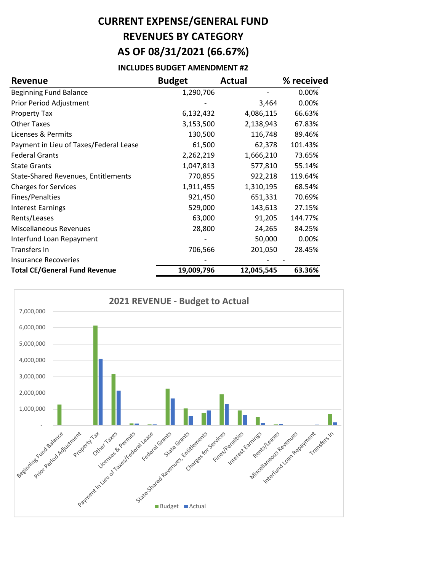# **CURRENT EXPENSE/GENERAL FUND REVENUES BY CATEGORY AS OF 08/31/2021 (66.67%)**

#### **INCLUDES BUDGET AMENDMENT #2**

| <b>Revenue</b>                             | <b>Budget</b> | Actual     | % received |
|--------------------------------------------|---------------|------------|------------|
| <b>Beginning Fund Balance</b>              | 1,290,706     |            | 0.00%      |
| Prior Period Adjustment                    |               | 3,464      | 0.00%      |
| <b>Property Tax</b>                        | 6,132,432     | 4,086,115  | 66.63%     |
| <b>Other Taxes</b>                         | 3,153,500     | 2,138,943  | 67.83%     |
| Licenses & Permits                         | 130,500       | 116,748    | 89.46%     |
| Payment in Lieu of Taxes/Federal Lease     | 61,500        | 62,378     | 101.43%    |
| <b>Federal Grants</b>                      | 2,262,219     | 1,666,210  | 73.65%     |
| <b>State Grants</b>                        | 1,047,813     | 577,810    | 55.14%     |
| <b>State-Shared Revenues, Entitlements</b> | 770,855       | 922,218    | 119.64%    |
| <b>Charges for Services</b>                | 1,911,455     | 1,310,195  | 68.54%     |
| Fines/Penalties                            | 921,450       | 651,331    | 70.69%     |
| <b>Interest Earnings</b>                   | 529,000       | 143,613    | 27.15%     |
| Rents/Leases                               | 63,000        | 91,205     | 144.77%    |
| <b>Miscellaneous Revenues</b>              | 28,800        | 24,265     | 84.25%     |
| Interfund Loan Repayment                   |               | 50,000     | 0.00%      |
| Transfers In                               | 706,566       | 201,050    | 28.45%     |
| <b>Insurance Recoveries</b>                |               |            |            |
| <b>Total CE/General Fund Revenue</b>       | 19,009,796    | 12,045,545 | 63.36%     |

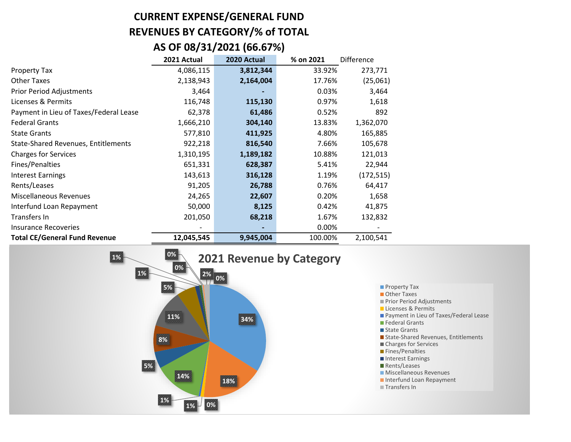### **CURRENT EXPENSE/GENERAL FUND REVENUES BY CATEGORY/% of TOTAL AS OF 08/31/2021 (66.67%)**

|                                        | 2021 Actual | 2020 Actual | % on 2021 | Difference |
|----------------------------------------|-------------|-------------|-----------|------------|
| Property Tax                           | 4,086,115   | 3,812,344   | 33.92%    | 273,771    |
| <b>Other Taxes</b>                     | 2,138,943   | 2,164,004   | 17.76%    | (25,061)   |
| <b>Prior Period Adjustments</b>        | 3,464       |             | 0.03%     | 3,464      |
| Licenses & Permits                     | 116,748     | 115,130     | 0.97%     | 1,618      |
| Payment in Lieu of Taxes/Federal Lease | 62,378      | 61,486      | 0.52%     | 892        |
| <b>Federal Grants</b>                  | 1,666,210   | 304,140     | 13.83%    | 1,362,070  |
| <b>State Grants</b>                    | 577,810     | 411,925     | 4.80%     | 165,885    |
| State-Shared Revenues, Entitlements    | 922,218     | 816,540     | 7.66%     | 105,678    |
| <b>Charges for Services</b>            | 1,310,195   | 1,189,182   | 10.88%    | 121,013    |
| Fines/Penalties                        | 651,331     | 628,387     | 5.41%     | 22,944     |
| <b>Interest Earnings</b>               | 143,613     | 316,128     | 1.19%     | (172, 515) |
| Rents/Leases                           | 91,205      | 26,788      | 0.76%     | 64,417     |
| <b>Miscellaneous Revenues</b>          | 24,265      | 22,607      | 0.20%     | 1,658      |
| Interfund Loan Repayment               | 50,000      | 8,125       | 0.42%     | 41,875     |
| Transfers In                           | 201,050     | 68,218      | 1.67%     | 132,832    |
| <b>Insurance Recoveries</b>            |             |             | 0.00%     |            |
| <b>Total CE/General Fund Revenue</b>   | 12,045,545  | 9,945,004   | 100.00%   | 2,100,541  |



- **Property Tax**
- Other Taxes
- **Prior Period Adjustments**
- Licenses & Permits
- **Payment in Lieu of Taxes/Federal Lease**
- **Federal Grants**
- State Grants
- State-Shared Revenues, Entitlements
- Charges for Services
- **Fines/Penalties**
- Interest Earnings
- Rents/Leases
- **Miscellaneous Revenues**
- Interfund Loan Repayment
- Transfers In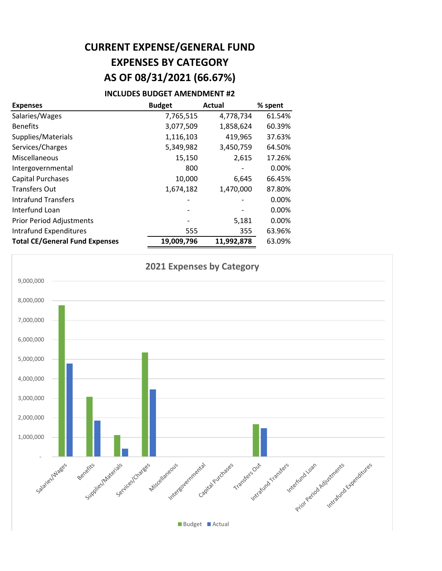### **CURRENT EXPENSE/GENERAL FUND EXPENSES BY CATEGORY AS OF 08/31/2021 (66.67%)**

#### **INCLUDES BUDGET AMENDMENT #2**

| <b>Expenses</b>                       | <b>Budget</b> | <b>Actual</b> | % spent  |
|---------------------------------------|---------------|---------------|----------|
| Salaries/Wages                        | 7,765,515     | 4,778,734     | 61.54%   |
| <b>Benefits</b>                       | 3,077,509     | 1,858,624     | 60.39%   |
| Supplies/Materials                    | 1,116,103     | 419,965       | 37.63%   |
| Services/Charges                      | 5,349,982     | 3,450,759     | 64.50%   |
| Miscellaneous                         | 15,150        | 2,615         | 17.26%   |
| Intergovernmental                     | 800           |               | $0.00\%$ |
| <b>Capital Purchases</b>              | 10,000        | 6,645         | 66.45%   |
| <b>Transfers Out</b>                  | 1,674,182     | 1,470,000     | 87.80%   |
| Intrafund Transfers                   |               |               | $0.00\%$ |
| Interfund Loan                        |               |               | $0.00\%$ |
| <b>Prior Period Adjustments</b>       |               | 5,181         | $0.00\%$ |
| Intrafund Expenditures                | 555           | 355           | 63.96%   |
| <b>Total CE/General Fund Expenses</b> | 19,009,796    | 11,992,878    | 63.09%   |

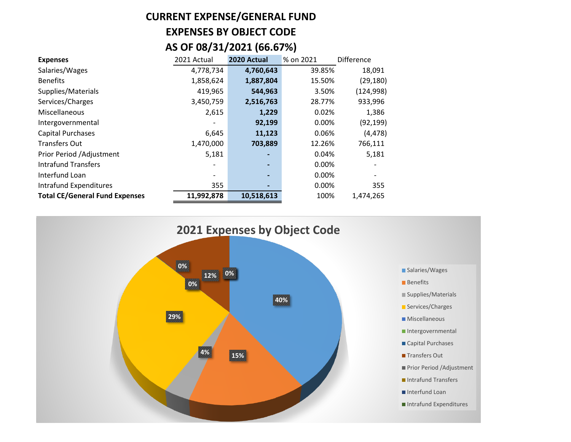# **CURRENT EXPENSE/GENERAL FUND EXPENSES BY OBJECT CODE AS OF 08/31/2021 (66.67%)**

| <b>Expenses</b>                       | 2021 Actual | 2020 Actual    | % on 2021 | <b>Difference</b> |
|---------------------------------------|-------------|----------------|-----------|-------------------|
| Salaries/Wages                        | 4,778,734   | 4,760,643      | 39.85%    | 18,091            |
| <b>Benefits</b>                       | 1,858,624   | 1,887,804      | 15.50%    | (29, 180)         |
| Supplies/Materials                    | 419,965     | 544,963        | 3.50%     | (124, 998)        |
| Services/Charges                      | 3,450,759   | 2,516,763      | 28.77%    | 933,996           |
| Miscellaneous                         | 2,615       | 1,229          | 0.02%     | 1,386             |
| Intergovernmental                     |             | 92,199         | 0.00%     | (92, 199)         |
| <b>Capital Purchases</b>              | 6,645       | 11,123         | 0.06%     | (4, 478)          |
| <b>Transfers Out</b>                  | 1,470,000   | 703,889        | 12.26%    | 766,111           |
| Prior Period / Adjustment             | 5,181       |                | 0.04%     | 5,181             |
| <b>Intrafund Transfers</b>            |             |                | 0.00%     |                   |
| Interfund Loan                        |             | $\blacksquare$ | 0.00%     |                   |
| Intrafund Expenditures                | 355         |                | 0.00%     | 355               |
| <b>Total CE/General Fund Expenses</b> | 11,992,878  | 10,518,613     | 100%      | 1,474,265         |

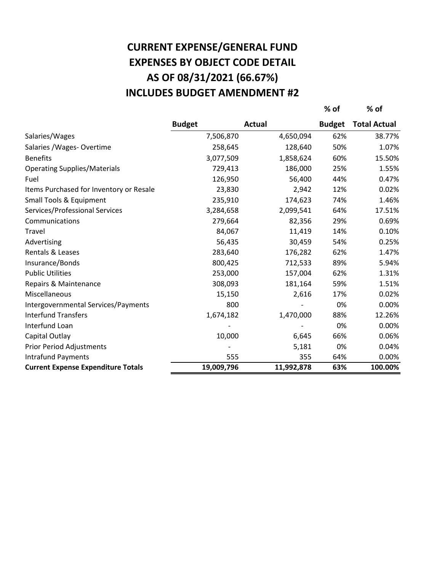# **AS OF 08/31/2021 (66.67%) CURRENT EXPENSE/GENERAL FUND EXPENSES BY OBJECT CODE DETAIL INCLUDES BUDGET AMENDMENT #2**

**% of % of**

|                                           | <b>Budget</b> | <b>Actual</b> | <b>Budget</b> | <b>Total Actual</b> |
|-------------------------------------------|---------------|---------------|---------------|---------------------|
| Salaries/Wages                            | 7,506,870     | 4,650,094     | 62%           | 38.77%              |
| Salaries / Wages - Overtime               | 258,645       | 128,640       | 50%           | 1.07%               |
| <b>Benefits</b>                           | 3,077,509     | 1,858,624     | 60%           | 15.50%              |
| <b>Operating Supplies/Materials</b>       | 729,413       | 186,000       | 25%           | 1.55%               |
| Fuel                                      | 126,950       | 56,400        | 44%           | 0.47%               |
| Items Purchased for Inventory or Resale   | 23,830        | 2,942         | 12%           | 0.02%               |
| <b>Small Tools &amp; Equipment</b>        | 235,910       | 174,623       | 74%           | 1.46%               |
| Services/Professional Services            | 3,284,658     | 2,099,541     | 64%           | 17.51%              |
| Communications                            | 279,664       | 82,356        | 29%           | 0.69%               |
| Travel                                    | 84,067        | 11,419        | 14%           | 0.10%               |
| Advertising                               | 56,435        | 30,459        | 54%           | 0.25%               |
| Rentals & Leases                          | 283,640       | 176,282       | 62%           | 1.47%               |
| Insurance/Bonds                           | 800,425       | 712,533       | 89%           | 5.94%               |
| <b>Public Utilities</b>                   | 253,000       | 157,004       | 62%           | 1.31%               |
| Repairs & Maintenance                     | 308,093       | 181,164       | 59%           | 1.51%               |
| Miscellaneous                             | 15,150        | 2,616         | 17%           | 0.02%               |
| Intergovernmental Services/Payments       | 800           |               | 0%            | 0.00%               |
| <b>Interfund Transfers</b>                | 1,674,182     | 1,470,000     | 88%           | 12.26%              |
| Interfund Loan                            |               |               | 0%            | 0.00%               |
| Capital Outlay                            | 10,000        | 6,645         | 66%           | 0.06%               |
| <b>Prior Period Adjustments</b>           |               | 5,181         | 0%            | 0.04%               |
| <b>Intrafund Payments</b>                 | 555           | 355           | 64%           | 0.00%               |
| <b>Current Expense Expenditure Totals</b> | 19,009,796    | 11,992,878    | 63%           | 100.00%             |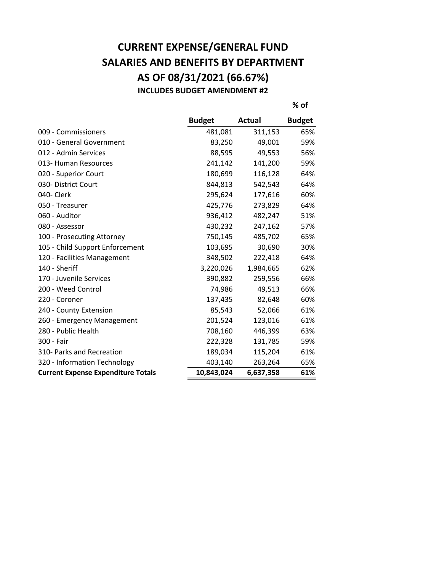### **CURRENT EXPENSE/GENERAL FUND SALARIES AND BENEFITS BY DEPARTMENT AS OF 08/31/2021 (66.67%) INCLUDES BUDGET AMENDMENT #2**

**% of**

|                                           | <b>Budget</b> | Actual    | <b>Budget</b> |
|-------------------------------------------|---------------|-----------|---------------|
| 009 - Commissioners                       | 481,081       | 311,153   | 65%           |
| 010 - General Government                  | 83,250        | 49,001    | 59%           |
| 012 - Admin Services                      | 88,595        | 49,553    | 56%           |
| 013- Human Resources                      | 241,142       | 141,200   | 59%           |
| 020 - Superior Court                      | 180,699       | 116,128   | 64%           |
| 030- District Court                       | 844,813       | 542,543   | 64%           |
| 040- Clerk                                | 295,624       | 177,616   | 60%           |
| 050 - Treasurer                           | 425,776       | 273,829   | 64%           |
| 060 - Auditor                             | 936,412       | 482,247   | 51%           |
| 080 - Assessor                            | 430,232       | 247,162   | 57%           |
| 100 - Prosecuting Attorney                | 750,145       | 485,702   | 65%           |
| 105 - Child Support Enforcement           | 103,695       | 30,690    | 30%           |
| 120 - Facilities Management               | 348,502       | 222,418   | 64%           |
| 140 - Sheriff                             | 3,220,026     | 1,984,665 | 62%           |
| 170 - Juvenile Services                   | 390,882       | 259,556   | 66%           |
| 200 - Weed Control                        | 74,986        | 49,513    | 66%           |
| 220 - Coroner                             | 137,435       | 82,648    | 60%           |
| 240 - County Extension                    | 85,543        | 52,066    | 61%           |
| 260 - Emergency Management                | 201,524       | 123,016   | 61%           |
| 280 - Public Health                       | 708,160       | 446,399   | 63%           |
| 300 - Fair                                | 222,328       | 131,785   | 59%           |
| 310- Parks and Recreation                 | 189,034       | 115,204   | 61%           |
| 320 - Information Technology              | 403,140       | 263,264   | 65%           |
| <b>Current Expense Expenditure Totals</b> | 10,843,024    | 6,637,358 | 61%           |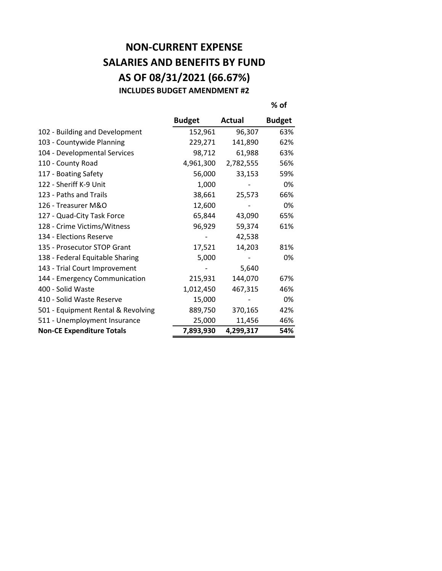#### **NON-CURRENT EXPENSE SALARIES AND BENEFITS BY FUND AS OF 08/31/2021 (66.67%) INCLUDES BUDGET AMENDMENT #2**

**% of**

|                                    | <b>Budget</b> | Actual    | <b>Budget</b> |
|------------------------------------|---------------|-----------|---------------|
| 102 - Building and Development     | 152,961       | 96,307    | 63%           |
| 103 - Countywide Planning          | 229,271       | 141,890   | 62%           |
| 104 - Developmental Services       | 98,712        | 61,988    | 63%           |
| 110 - County Road                  | 4,961,300     | 2,782,555 | 56%           |
| 117 - Boating Safety               | 56,000        | 33,153    | 59%           |
| 122 - Sheriff K-9 Unit             | 1,000         |           | 0%            |
| 123 - Paths and Trails             | 38,661        | 25,573    | 66%           |
| 126 - Treasurer M&O                | 12,600        |           | 0%            |
| 127 - Quad-City Task Force         | 65,844        | 43,090    | 65%           |
| 128 - Crime Victims/Witness        | 96,929        | 59,374    | 61%           |
| 134 - Elections Reserve            |               | 42,538    |               |
| 135 - Prosecutor STOP Grant        | 17,521        | 14,203    | 81%           |
| 138 - Federal Equitable Sharing    | 5,000         |           | 0%            |
| 143 - Trial Court Improvement      |               | 5,640     |               |
| 144 - Emergency Communication      | 215,931       | 144,070   | 67%           |
| 400 - Solid Waste                  | 1,012,450     | 467,315   | 46%           |
| 410 - Solid Waste Reserve          | 15,000        |           | 0%            |
| 501 - Equipment Rental & Revolving | 889,750       | 370,165   | 42%           |
| 511 - Unemployment Insurance       | 25,000        | 11,456    | 46%           |
| <b>Non-CE Expenditure Totals</b>   | 7,893,930     | 4,299,317 | 54%           |